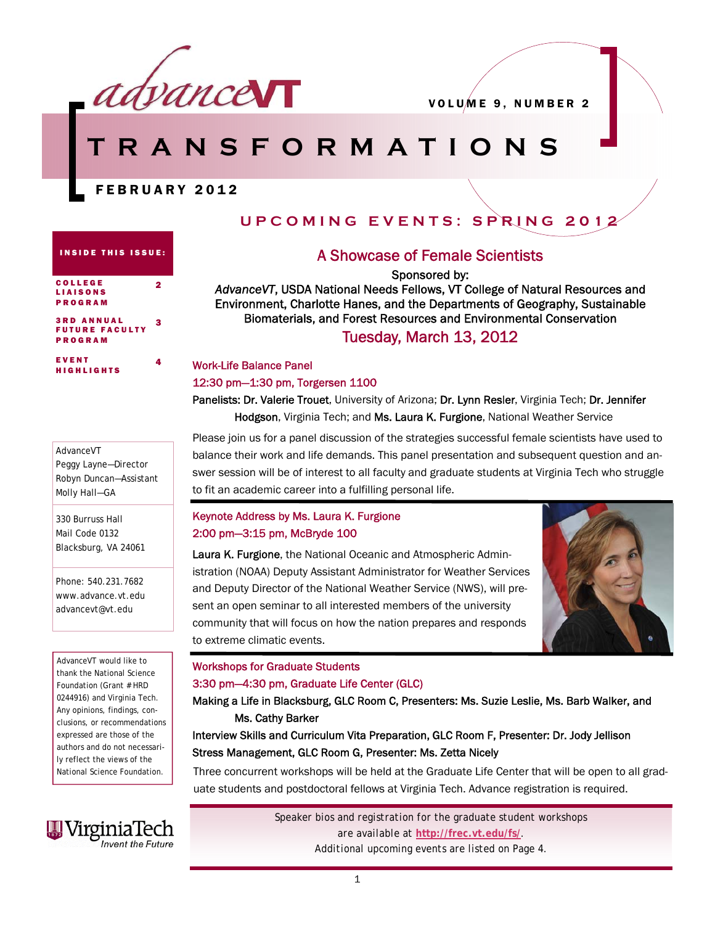

# **TRANSFORMATIONS**

# FEBRUARY 2012

2

4

# **UPCOMING EVENTS: SPRING 2012**

#### INSIDE THIS ISSUE:

| <b>COLLEGE</b>    |  |
|-------------------|--|
| <b>LIAISONS</b>   |  |
| <b>PROGRAM</b>    |  |
|                   |  |
| <b>3RD ANNUAL</b> |  |

UTURE FACULT<sup>T</sup> PROGRAM 3

EVENT HIGHLIGHTS

*AdvanceVT* 

Molly Hall—GA

330 Burruss Hall Mail Code 0132 Blacksburg, VA 24061

Peggy Layne—Director Robyn Duncan—Assistant

## A Showcase of Female Scientists

Sponsored by:

*AdvanceVT*, USDA National Needs Fellows, VT College of Natural Resources and Environment, Charlotte Hanes, and the Departments of Geography, Sustainable Biomaterials, and Forest Resources and Environmental Conservation Tuesday, March 13, 2012

### Work-Life Balance Panel

#### 12:30 pm—1:30 pm, Torgersen 1100

Panelists: Dr. Valerie Trouet, University of Arizona; Dr. Lynn Resler, Virginia Tech; Dr. Jennifer Hodgson, Virginia Tech; and Ms. Laura K. Furgione, National Weather Service

Please join us for a panel discussion of the strategies successful female scientists have used to balance their work and life demands. This panel presentation and subsequent question and answer session will be of interest to all faculty and graduate students at Virginia Tech who struggle to fit an academic career into a fulfilling personal life.

### Keynote Address by Ms. Laura K. Furgione 2:00 pm—3:15 pm, McBryde 100

Laura K. Furgione, the National Oceanic and Atmospheric Administration (NOAA) Deputy Assistant Administrator for Weather Services and Deputy Director of the National Weather Service (NWS), will present an open seminar to all interested members of the university community that will focus on how the nation prepares and responds to extreme climatic events.



#### Workshops for Graduate Students

#### 3:30 pm—4:30 pm, Graduate Life Center (GLC)

Making a Life in Blacksburg, GLC Room C, Presenters: Ms. Suzie Leslie, Ms. Barb Walker, and Ms. Cathy Barker

### Interview Skills and Curriculum Vita Preparation, GLC Room F, Presenter: Dr. Jody Jellison Stress Management, GLC Room G, Presenter: Ms. Zetta Nicely

Three concurrent workshops will be held at the Graduate Life Center that will be open to all graduate students and postdoctoral fellows at Virginia Tech. Advance registration is required.



*AdvanceVT* would like to thank the National Science Foundation (Grant # HRD 0244916) and Virginia Tech. Any opinions, findings, conclusions, or recommendations expressed are those of the authors and do not necessarily reflect the views of the National Science Foundation.

Phone: 540.231.7682 www.advance.vt.edu advancevt@vt.edu

> *Speaker bios and registration for the graduate student workshops are available at* **http://frec.vt.edu/fs/***. Additional upcoming events are listed on Page 4.*

> > 1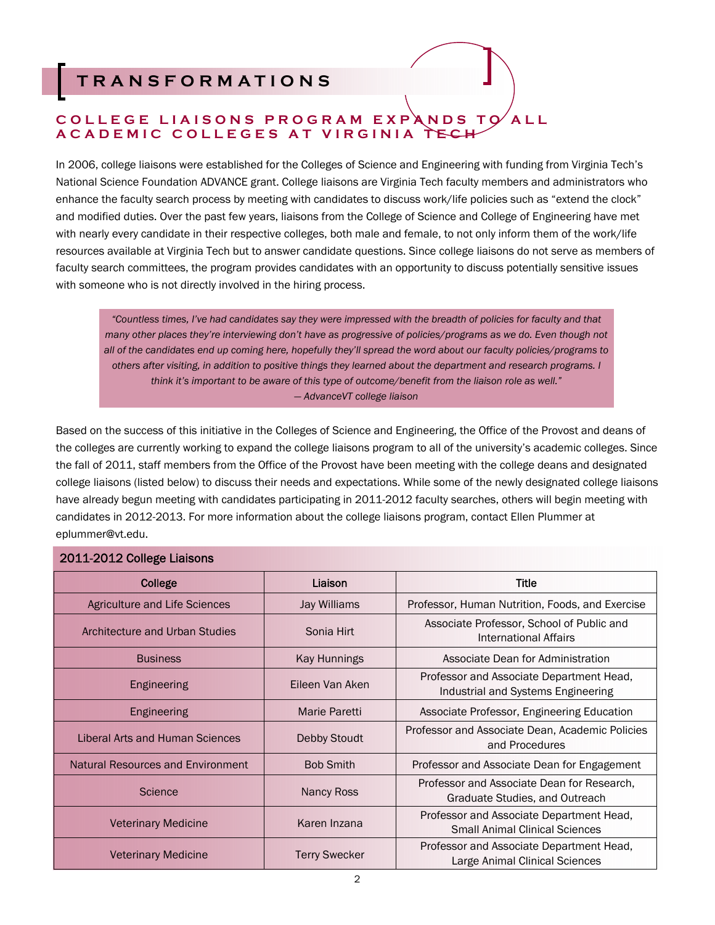# **TRANSFORMATIONS**

# COLLEGE LIAISONS PROGRAM EXPANDS TO ALL **ACADEMIC COLLEGES AT VIRGINIA TEC**

In 2006, college liaisons were established for the Colleges of Science and Engineering with funding from Virginia Tech's National Science Foundation ADVANCE grant. College liaisons are Virginia Tech faculty members and administrators who enhance the faculty search process by meeting with candidates to discuss work/life policies such as "extend the clock" and modified duties. Over the past few years, liaisons from the College of Science and College of Engineering have met with nearly every candidate in their respective colleges, both male and female, to not only inform them of the work/life resources available at Virginia Tech but to answer candidate questions. Since college liaisons do not serve as members of faculty search committees, the program provides candidates with an opportunity to discuss potentially sensitive issues with someone who is not directly involved in the hiring process.

*"Countless times, I've had candidates say they were impressed with the breadth of policies for faculty and that many other places they're interviewing don't have as progressive of policies/programs as we do. Even though not all of the candidates end up coming here, hopefully they'll spread the word about our faculty policies/programs to others after visiting, in addition to positive things they learned about the department and research programs. I think it's important to be aware of this type of outcome/benefit from the liaison role as well." — AdvanceVT college liaison* 

Based on the success of this initiative in the Colleges of Science and Engineering, the Office of the Provost and deans of the colleges are currently working to expand the college liaisons program to all of the university's academic colleges. Since the fall of 2011, staff members from the Office of the Provost have been meeting with the college deans and designated college liaisons (listed below) to discuss their needs and expectations. While some of the newly designated college liaisons have already begun meeting with candidates participating in 2011-2012 faculty searches, others will begin meeting with candidates in 2012-2013. For more information about the college liaisons program, contact Ellen Plummer at eplummer@vt.edu.

### 2011-2012 College Liaisons

| College                           | Liaison              | <b>Title</b>                                                                      |
|-----------------------------------|----------------------|-----------------------------------------------------------------------------------|
| Agriculture and Life Sciences     | Jay Williams         | Professor, Human Nutrition, Foods, and Exercise                                   |
| Architecture and Urban Studies    | Sonia Hirt           | Associate Professor, School of Public and<br>International Affairs                |
| <b>Business</b>                   | Kay Hunnings         | Associate Dean for Administration                                                 |
| Engineering                       | Eileen Van Aken      | Professor and Associate Department Head,<br>Industrial and Systems Engineering    |
| Engineering                       | Marie Paretti        | Associate Professor, Engineering Education                                        |
| Liberal Arts and Human Sciences   | Debby Stoudt         | Professor and Associate Dean, Academic Policies<br>and Procedures                 |
| Natural Resources and Environment | <b>Bob Smith</b>     | Professor and Associate Dean for Engagement                                       |
| Science                           | Nancy Ross           | Professor and Associate Dean for Research,<br>Graduate Studies, and Outreach      |
| <b>Veterinary Medicine</b>        | Karen Inzana         | Professor and Associate Department Head,<br><b>Small Animal Clinical Sciences</b> |
| <b>Veterinary Medicine</b>        | <b>Terry Swecker</b> | Professor and Associate Department Head,<br>Large Animal Clinical Sciences        |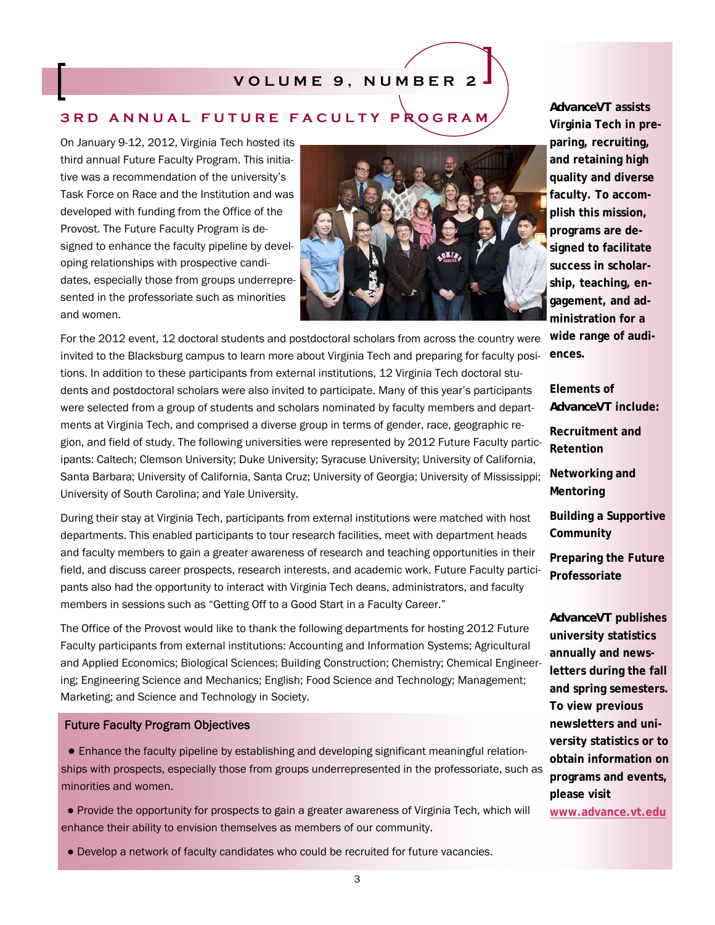# **VOLUME 9, NUMBER 2**

# **3RD ANNUAL FUTURE FACULTY PROGRAM**

On January 9-12, 2012, Virginia Tech hosted its third annual Future Faculty Program. This initiative was a recommendation of the university's Task Force on Race and the Institution and was developed with funding from the Office of the Provost. The Future Faculty Program is designed to enhance the faculty pipeline by developing relationships with prospective candidates, especially those from groups underrepresented in the professoriate such as minorities and women.



For the 2012 event, 12 doctoral students and postdoctoral scholars from across the country were **wide range of audi**invited to the Blacksburg campus to learn more about Virginia Tech and preparing for faculty positions. In addition to these participants from external institutions, 12 Virginia Tech doctoral students and postdoctoral scholars were also invited to participate. Many of this year's participants were selected from a group of students and scholars nominated by faculty members and departments at Virginia Tech, and comprised a diverse group in terms of gender, race, geographic region, and field of study. The following universities were represented by 2012 Future Faculty participants: Caltech; Clemson University; Duke University; Syracuse University; University of California, Santa Barbara; University of California, Santa Cruz; University of Georgia; University of Mississippi; University of South Carolina; and Yale University.

During their stay at Virginia Tech, participants from external institutions were matched with host departments. This enabled participants to tour research facilities, meet with department heads and faculty members to gain a greater awareness of research and teaching opportunities in their field, and discuss career prospects, research interests, and academic work. Future Faculty participants also had the opportunity to interact with Virginia Tech deans, administrators, and faculty members in sessions such as "Getting Off to a Good Start in a Faculty Career."

The Office of the Provost would like to thank the following departments for hosting 2012 Future Faculty participants from external institutions: Accounting and Information Systems; Agricultural and Applied Economics; Biological Sciences; Building Construction; Chemistry; Chemical Engineering; Engineering Science and Mechanics; English; Food Science and Technology; Management; Marketing; and Science and Technology in Society.

### Future Faculty Program Objectives

 ● Enhance the faculty pipeline by establishing and developing significant meaningful relationships with prospects, especially those from groups underrepresented in the professoriate, such as minorities and women.

 ● Provide the opportunity for prospects to gain a greater awareness of Virginia Tech, which will enhance their ability to envision themselves as members of our community.

**Virginia Tech in preparing, recruiting, and retaining high quality and diverse faculty. To accomplish this mission, programs are designed to facilitate success in scholarship, teaching, engagement, and administration for a ences.** 

*AdvanceVT* **assists** 

**Elements of**  *AdvanceVT* **include: Recruitment and Retention Networking and Mentoring Building a Supportive Community Preparing the Future Professoriate**  *AdvanceVT* **publishes university statistics annually and newsletters during the fall** 

**and spring semesters. To view previous newsletters and university statistics or to obtain information on programs and events, please visit** 

**www.advance.vt.edu**

● Develop a network of faculty candidates who could be recruited for future vacancies.